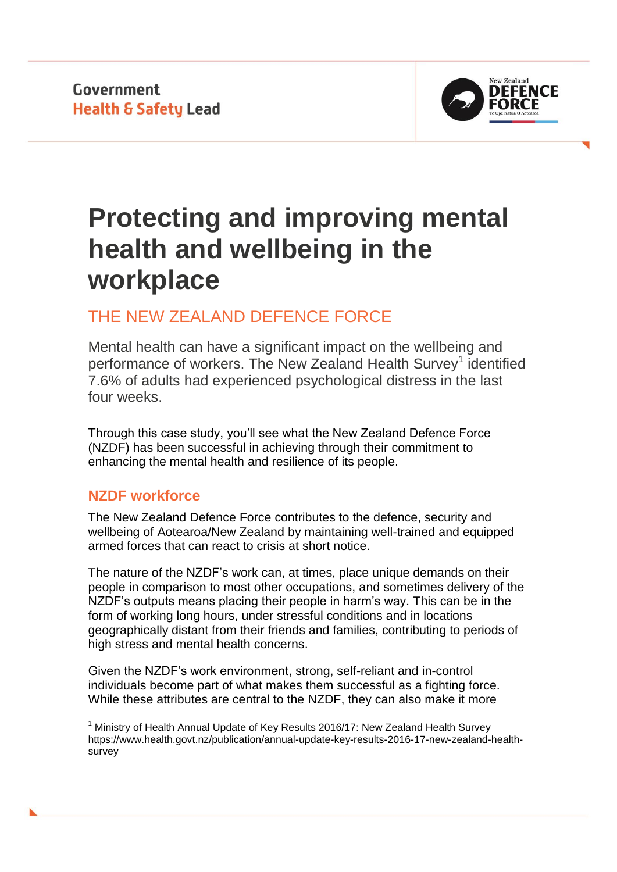**Government Health & Safety Lead** 



# **Protecting and improving mental health and wellbeing in the workplace**

## THE NEW ZEALAND DEFENCE FORCE

Mental health can have a significant impact on the wellbeing and performance of workers. The New Zealand Health Survey<sup>1</sup> identified 7.6% of adults had experienced psychological distress in the last four weeks.

Through this case study, you'll see what the New Zealand Defence Force (NZDF) has been successful in achieving through their commitment to enhancing the mental health and resilience of its people.

## **NZDF workforce**

1

The New Zealand Defence Force contributes to the defence, security and wellbeing of Aotearoa/New Zealand by maintaining well-trained and equipped armed forces that can react to crisis at short notice.

The nature of the NZDF's work can, at times, place unique demands on their people in comparison to most other occupations, and sometimes delivery of the NZDF's outputs means placing their people in harm's way. This can be in the form of working long hours, under stressful conditions and in locations geographically distant from their friends and families, contributing to periods of high stress and mental health concerns.

Given the NZDF's work environment, strong, self-reliant and in-control individuals become part of what makes them successful as a fighting force. While these attributes are central to the NZDF, they can also make it more

 $1$  Ministry of Health Annual Update of Key Results 2016/17: New Zealand Health Survey https://www.health.govt.nz/publication/annual-update-key-results-2016-17-new-zealand-healthsurvey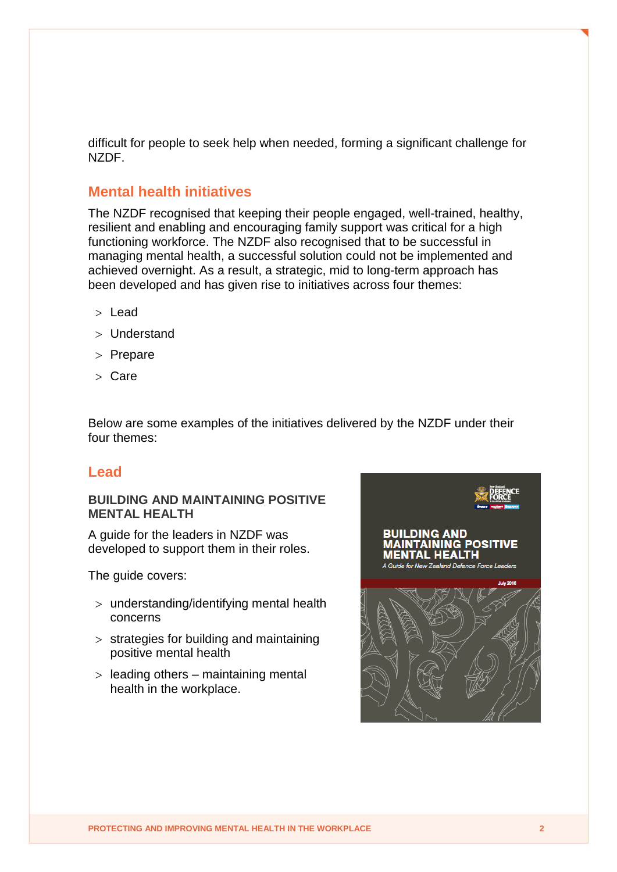difficult for people to seek help when needed, forming a significant challenge for NZDF.

## **Mental health initiatives**

The NZDF recognised that keeping their people engaged, well-trained, healthy, resilient and enabling and encouraging family support was critical for a high functioning workforce. The NZDF also recognised that to be successful in managing mental health, a successful solution could not be implemented and achieved overnight. As a result, a strategic, mid to long-term approach has been developed and has given rise to initiatives across four themes:

- > Lead
- Understand
- $>$  Prepare
- Care

Below are some examples of the initiatives delivered by the NZDF under their four themes:

## **Lead**

#### **BUILDING AND MAINTAINING POSITIVE MENTAL HEALTH**

A guide for the leaders in NZDF was developed to support them in their roles.

The guide covers:

- understanding/identifying mental health concerns
- $>$  strategies for building and maintaining positive mental health
- $>$  leading others maintaining mental health in the workplace.

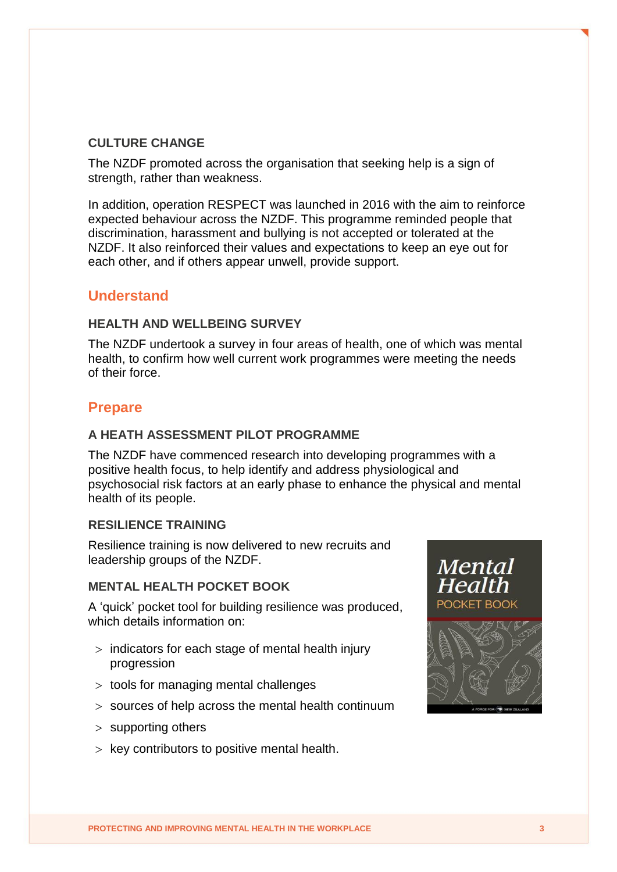## **CULTURE CHANGE**

The NZDF promoted across the organisation that seeking help is a sign of strength, rather than weakness.

In addition, operation RESPECT was launched in 2016 with the aim to reinforce expected behaviour across the NZDF. This programme reminded people that discrimination, harassment and bullying is not accepted or tolerated at the NZDF. It also reinforced their values and expectations to keep an eye out for each other, and if others appear unwell, provide support.

## **Understand**

## **HEALTH AND WELLBEING SURVEY**

The NZDF undertook a survey in four areas of health, one of which was mental health, to confirm how well current work programmes were meeting the needs of their force.

## **Prepare**

#### **A HEATH ASSESSMENT PILOT PROGRAMME**

The NZDF have commenced research into developing programmes with a positive health focus, to help identify and address physiological and psychosocial risk factors at an early phase to enhance the physical and mental health of its people.

## **RESILIENCE TRAINING**

Resilience training is now delivered to new recruits and leadership groups of the NZDF.

#### **MENTAL HEALTH POCKET BOOK**

A 'quick' pocket tool for building resilience was produced, which details information on:

- $>$  indicators for each stage of mental health injury progression
- $>$  tools for managing mental challenges
- sources of help across the mental health continuum
- $>$  supporting others
- $>$  key contributors to positive mental health.

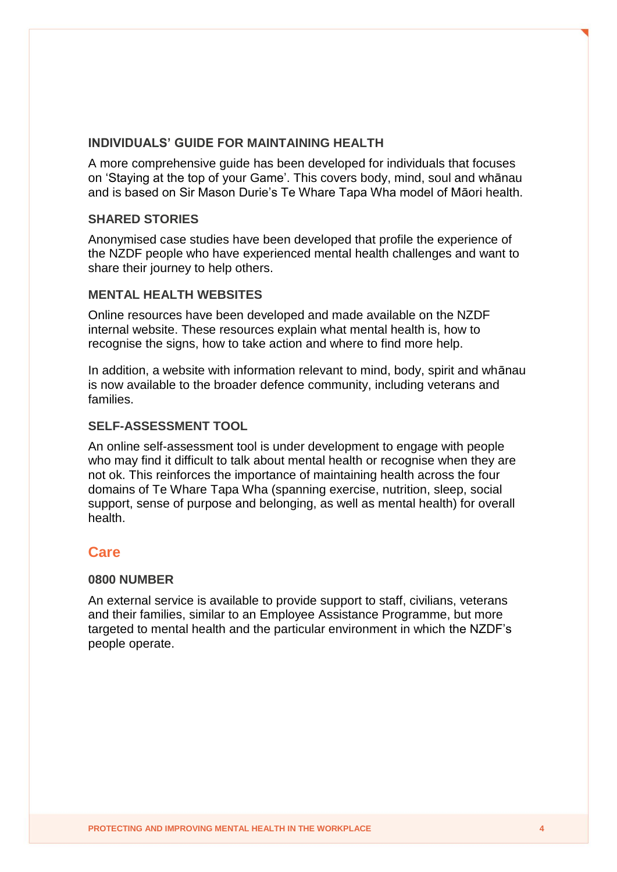#### **INDIVIDUALS' GUIDE FOR MAINTAINING HEALTH**

A more comprehensive guide has been developed for individuals that focuses on 'Staying at the top of your Game'. This covers body, mind, soul and whānau and is based on Sir Mason Durie's Te Whare Tapa Wha model of Māori health.

#### **SHARED STORIES**

Anonymised case studies have been developed that profile the experience of the NZDF people who have experienced mental health challenges and want to share their journey to help others.

#### **MENTAL HEALTH WEBSITES**

Online resources have been developed and made available on the NZDF internal website. These resources explain what mental health is, how to recognise the signs, how to take action and where to find more help.

In addition, a website with information relevant to mind, body, spirit and whānau is now available to the broader defence community, including veterans and families.

#### **SELF-ASSESSMENT TOOL**

An online self-assessment tool is under development to engage with people who may find it difficult to talk about mental health or recognise when they are not ok. This reinforces the importance of maintaining health across the four domains of Te Whare Tapa Wha (spanning exercise, nutrition, sleep, social support, sense of purpose and belonging, as well as mental health) for overall health.

## **Care**

#### **0800 NUMBER**

An external service is available to provide support to staff, civilians, veterans and their families, similar to an Employee Assistance Programme, but more targeted to mental health and the particular environment in which the NZDF's people operate.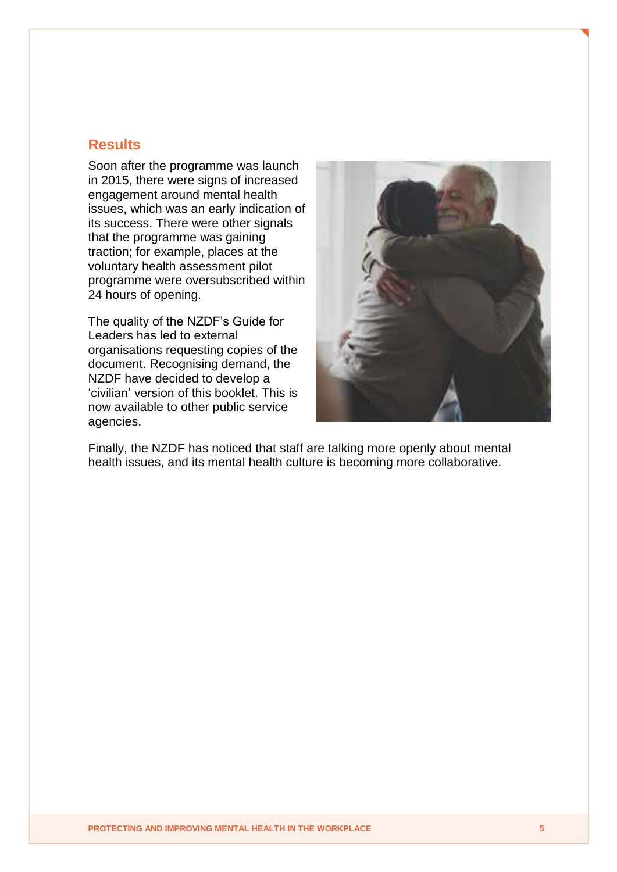## **Results**

Soon after the programme was launch in 2015, there were signs of increased engagement around mental health issues, which was an early indication of its success. There were other signals that the programme was gaining traction; for example, places at the voluntary health assessment pilot programme were oversubscribed within 24 hours of opening.

The quality of the NZDF's Guide for Leaders has led to external organisations requesting copies of the document. Recognising demand, the NZDF have decided to develop a 'civilian' version of this booklet. This is now available to other public service agencies.



Finally, the NZDF has noticed that staff are talking more openly about mental health issues, and its mental health culture is becoming more collaborative.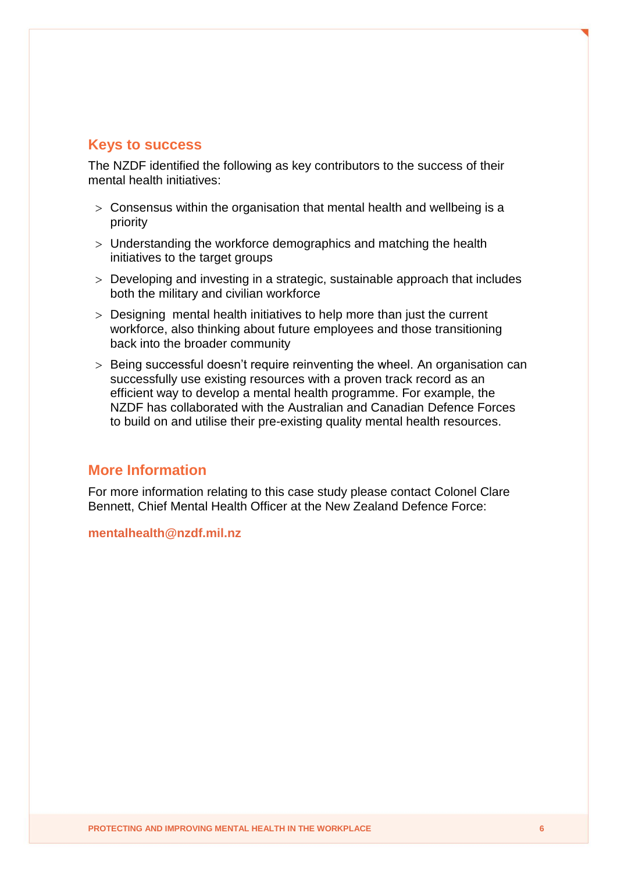## **Keys to success**

The NZDF identified the following as key contributors to the success of their mental health initiatives:

- $>$  Consensus within the organisation that mental health and wellbeing is a priority
- Understanding the workforce demographics and matching the health initiatives to the target groups
- Developing and investing in a strategic, sustainable approach that includes both the military and civilian workforce
- Designing mental health initiatives to help more than just the current workforce, also thinking about future employees and those transitioning back into the broader community
- > Being successful doesn't require reinventing the wheel. An organisation can successfully use existing resources with a proven track record as an efficient way to develop a mental health programme. For example, the NZDF has collaborated with the Australian and Canadian Defence Forces to build on and utilise their pre-existing quality mental health resources.

## **More Information**

For more information relating to this case study please contact Colonel Clare Bennett, Chief Mental Health Officer at the New Zealand Defence Force:

**mentalhealth@nzdf.mil.nz**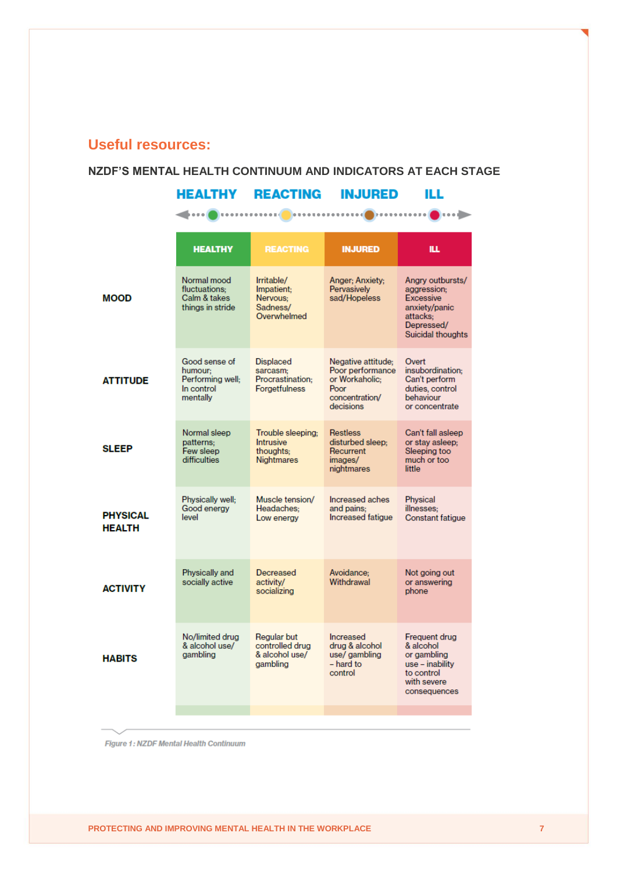## **Useful resources:**

#### **NZDF'S MENTAL HEALTH CONTINUUM AND INDICATORS AT EACH STAGE**

## **HEALTHY REACTING INJURED ILL**

## $\begin{picture}(20,10) \put(0,0){\vector(1,0){10}} \put(1,0){\vector(1,0){10}} \put(1,0){\vector(1,0){10}} \put(1,0){\vector(1,0){10}} \put(1,0){\vector(1,0){10}} \put(1,0){\vector(1,0){10}} \put(1,0){\vector(1,0){10}} \put(1,0){\vector(1,0){10}} \put(1,0){\vector(1,0){10}} \put(1,0){\vector(1,0){10}} \put(1,0){\vector(1,0){10}} \put(1,0){\vector(1,0){10}} \put(1,$

| Normal mood<br>Irritable/<br>Anger: Anxiety:<br>Angry outbursts/<br>fluctuations:<br>Impatient:<br>Pervasively<br>aggression:<br>Calm & takes<br>sad/Hopeless<br><b>MOOD</b><br>Nervous:<br><b>Excessive</b><br>Sadness/<br>things in stride<br>anxiety/panic<br>Overwhelmed<br>attacks:<br>Depressed/<br>Suicidal thoughts<br>Good sense of<br><b>Displaced</b><br>Negative attitude:<br>Overt<br>Poor performance<br>insubordination:<br>humour:<br>sarcasm:<br>Performing well;<br>Procrastination:<br>or Workaholic:<br>Can't perform<br><b>ATTITUDE</b><br>In control<br><b>Forgetfulness</b><br>Poor<br>duties, control<br>mentally<br>concentration/<br>behaviour<br>decisions<br>or concentrate<br>Normal sleep<br>Trouble sleeping;<br><b>Restless</b><br>Can't fall asleep<br>disturbed sleep;<br>patterns:<br>Intrusive<br>or stay asleep:<br><b>SLEEP</b><br>Few sleep<br>Sleeping too<br>thoughts:<br>Recurrent<br>difficulties<br>much or too<br><b>Nightmares</b><br>images/<br>nightmares<br>little<br>Physically well:<br>Muscle tension/<br>Increased aches<br><b>Physical</b><br>Good energy<br>Headaches:<br>and pains:<br>illnesses;<br><b>PHYSICAL</b><br>level<br>Increased fatique<br><b>Constant fatigue</b><br>Low energy<br><b>HEALTH</b><br>Physically and<br>Decreased<br>Avoidance:<br>Not going out<br>socially active<br>Withdrawal<br>activity/<br>or answering<br><b>ACTIVITY</b><br>socializing<br>phone<br>No/limited drua<br>Regular but<br>Increased<br>Frequent drug<br>controlled drug<br>drug & alcohol<br>& alcohol use/<br>& alcohol<br>gambling<br>& alcohol use/<br>use/ gambling<br>or gambling<br><b>HABITS</b><br>$-$ hard to<br>aamblina<br>use – inability<br>to control<br>control<br>with severe<br>consequences | <b>HEALTHY</b> | <b>REACTING</b> | <b>INJURED</b> | ILL. |
|----------------------------------------------------------------------------------------------------------------------------------------------------------------------------------------------------------------------------------------------------------------------------------------------------------------------------------------------------------------------------------------------------------------------------------------------------------------------------------------------------------------------------------------------------------------------------------------------------------------------------------------------------------------------------------------------------------------------------------------------------------------------------------------------------------------------------------------------------------------------------------------------------------------------------------------------------------------------------------------------------------------------------------------------------------------------------------------------------------------------------------------------------------------------------------------------------------------------------------------------------------------------------------------------------------------------------------------------------------------------------------------------------------------------------------------------------------------------------------------------------------------------------------------------------------------------------------------------------------------------------------------------------------------------------------------------------------------------------------------------------------------------|----------------|-----------------|----------------|------|
|                                                                                                                                                                                                                                                                                                                                                                                                                                                                                                                                                                                                                                                                                                                                                                                                                                                                                                                                                                                                                                                                                                                                                                                                                                                                                                                                                                                                                                                                                                                                                                                                                                                                                                                                                                      |                |                 |                |      |
|                                                                                                                                                                                                                                                                                                                                                                                                                                                                                                                                                                                                                                                                                                                                                                                                                                                                                                                                                                                                                                                                                                                                                                                                                                                                                                                                                                                                                                                                                                                                                                                                                                                                                                                                                                      |                |                 |                |      |
|                                                                                                                                                                                                                                                                                                                                                                                                                                                                                                                                                                                                                                                                                                                                                                                                                                                                                                                                                                                                                                                                                                                                                                                                                                                                                                                                                                                                                                                                                                                                                                                                                                                                                                                                                                      |                |                 |                |      |
|                                                                                                                                                                                                                                                                                                                                                                                                                                                                                                                                                                                                                                                                                                                                                                                                                                                                                                                                                                                                                                                                                                                                                                                                                                                                                                                                                                                                                                                                                                                                                                                                                                                                                                                                                                      |                |                 |                |      |
|                                                                                                                                                                                                                                                                                                                                                                                                                                                                                                                                                                                                                                                                                                                                                                                                                                                                                                                                                                                                                                                                                                                                                                                                                                                                                                                                                                                                                                                                                                                                                                                                                                                                                                                                                                      |                |                 |                |      |
|                                                                                                                                                                                                                                                                                                                                                                                                                                                                                                                                                                                                                                                                                                                                                                                                                                                                                                                                                                                                                                                                                                                                                                                                                                                                                                                                                                                                                                                                                                                                                                                                                                                                                                                                                                      |                |                 |                |      |

Figure 1: NZDF Mental Health Continuum